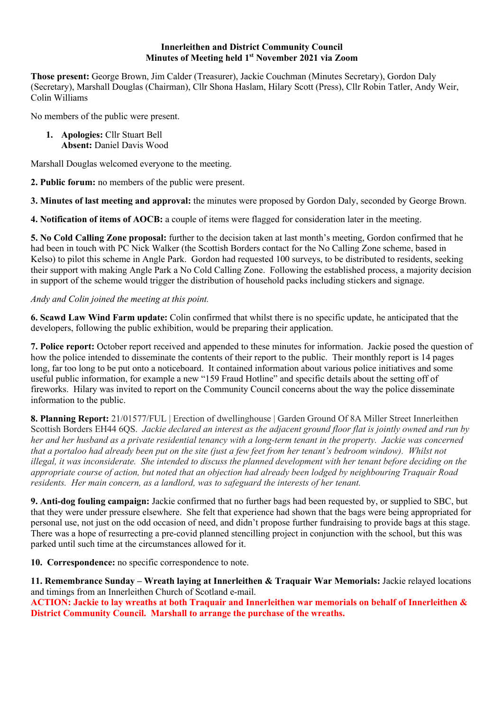## **Innerleithen and District Community Council Minutes of Meeting held 1st November 2021 via Zoom**

**Those present:** George Brown, Jim Calder (Treasurer), Jackie Couchman (Minutes Secretary), Gordon Daly (Secretary), Marshall Douglas (Chairman), Cllr Shona Haslam, Hilary Scott (Press), Cllr Robin Tatler, Andy Weir, Colin Williams

No members of the public were present.

**1. Apologies:** Cllr Stuart Bell **Absent:** Daniel Davis Wood

Marshall Douglas welcomed everyone to the meeting.

**2. Public forum:** no members of the public were present.

**3. Minutes of last meeting and approval:** the minutes were proposed by Gordon Daly, seconded by George Brown.

**4. Notification of items of AOCB:** a couple of items were flagged for consideration later in the meeting.

**5. No Cold Calling Zone proposal:** further to the decision taken at last month's meeting, Gordon confirmed that he had been in touch with PC Nick Walker (the Scottish Borders contact for the No Calling Zone scheme, based in Kelso) to pilot this scheme in Angle Park. Gordon had requested 100 surveys, to be distributed to residents, seeking their support with making Angle Park a No Cold Calling Zone. Following the established process, a majority decision in support of the scheme would trigger the distribution of household packs including stickers and signage.

# *Andy and Colin joined the meeting at this point.*

**6. Scawd Law Wind Farm update:** Colin confirmed that whilst there is no specific update, he anticipated that the developers, following the public exhibition, would be preparing their application.

**7. Police report:** October report received and appended to these minutes for information. Jackie posed the question of how the police intended to disseminate the contents of their report to the public. Their monthly report is 14 pages long, far too long to be put onto a noticeboard. It contained information about various police initiatives and some useful public information, for example a new "159 Fraud Hotline" and specific details about the setting off of fireworks. Hilary was invited to report on the Community Council concerns about the way the police disseminate information to the public.

**8. Planning Report:** 21/01577/FUL | Erection of dwellinghouse | Garden Ground Of 8A Miller Street Innerleithen Scottish Borders EH44 6QS. *Jackie declared an interest as the adjacent ground floor flat is jointly owned and run by her and her husband as a private residential tenancy with a long-term tenant in the property. Jackie was concerned that a portaloo had already been put on the site (just a few feet from her tenant's bedroom window). Whilst not illegal, it was inconsiderate. She intended to discuss the planned development with her tenant before deciding on the appropriate course of action, but noted that an objection had already been lodged by neighbouring Traquair Road residents. Her main concern, as a landlord, was to safeguard the interests of her tenant.*

**9. Anti-dog fouling campaign:** Jackie confirmed that no further bags had been requested by, or supplied to SBC, but that they were under pressure elsewhere. She felt that experience had shown that the bags were being appropriated for personal use, not just on the odd occasion of need, and didn't propose further fundraising to provide bags at this stage. There was a hope of resurrecting a pre-covid planned stencilling project in conjunction with the school, but this was parked until such time at the circumstances allowed for it.

**10. Correspondence:** no specific correspondence to note.

**11. Remembrance Sunday – Wreath laying at Innerleithen & Traquair War Memorials:** Jackie relayed locations and timings from an Innerleithen Church of Scotland e-mail.

**ACTION: Jackie to lay wreaths at both Traquair and Innerleithen war memorials on behalf of Innerleithen & District Community Council. Marshall to arrange the purchase of the wreaths.**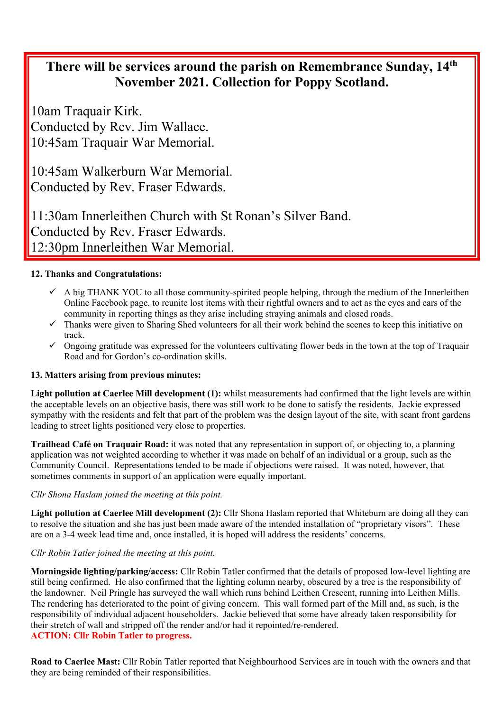# **There will be services around the parish on Remembrance Sunday, 14th November 2021. Collection for Poppy Scotland.**

10am Traquair Kirk. Conducted by Rev. Jim Wallace. 10:45am Traquair War Memorial.

10:45am Walkerburn War Memorial. Conducted by Rev. Fraser Edwards.

11:30am Innerleithen Church with St Ronan's Silver Band. Conducted by Rev. Fraser Edwards. 12:30pm Innerleithen War Memorial.

# **12. Thanks and Congratulations:**

- $\checkmark$  A big THANK YOU to all those community-spirited people helping, through the medium of the Innerleithen Online Facebook page, to reunite lost items with their rightful owners and to act as the eyes and ears of the community in reporting things as they arise including straying animals and closed roads.
- $\checkmark$  Thanks were given to Sharing Shed volunteers for all their work behind the scenes to keep this initiative on track.
- $\checkmark$  Ongoing gratitude was expressed for the volunteers cultivating flower beds in the town at the top of Traquair Road and for Gordon's co-ordination skills.

# **13. Matters arising from previous minutes:**

**Light pollution at Caerlee Mill development (1):** whilst measurements had confirmed that the light levels are within the acceptable levels on an objective basis, there was still work to be done to satisfy the residents. Jackie expressed sympathy with the residents and felt that part of the problem was the design layout of the site, with scant front gardens leading to street lights positioned very close to properties.

**Trailhead Café on Traquair Road:** it was noted that any representation in support of, or objecting to, a planning application was not weighted according to whether it was made on behalf of an individual or a group, such as the Community Council. Representations tended to be made if objections were raised. It was noted, however, that sometimes comments in support of an application were equally important.

## *Cllr Shona Haslam joined the meeting at this point.*

**Light pollution at Caerlee Mill development (2):** Cllr Shona Haslam reported that Whiteburn are doing all they can to resolve the situation and she has just been made aware of the intended installation of "proprietary visors". These are on a 3-4 week lead time and, once installed, it is hoped will address the residents' concerns.

## *Cllr Robin Tatler joined the meeting at this point.*

**Morningside lighting/parking/access:** Cllr Robin Tatler confirmed that the details of proposed low-level lighting are still being confirmed. He also confirmed that the lighting column nearby, obscured by a tree is the responsibility of the landowner. Neil Pringle has surveyed the wall which runs behind Leithen Crescent, running into Leithen Mills. The rendering has deteriorated to the point of giving concern. This wall formed part of the Mill and, as such, is the responsibility of individual adjacent householders. Jackie believed that some have already taken responsibility for their stretch of wall and stripped off the render and/or had it repointed/re-rendered.

## **ACTION: Cllr Robin Tatler to progress.**

**Road to Caerlee Mast:** Cllr Robin Tatler reported that Neighbourhood Services are in touch with the owners and that they are being reminded of their responsibilities.